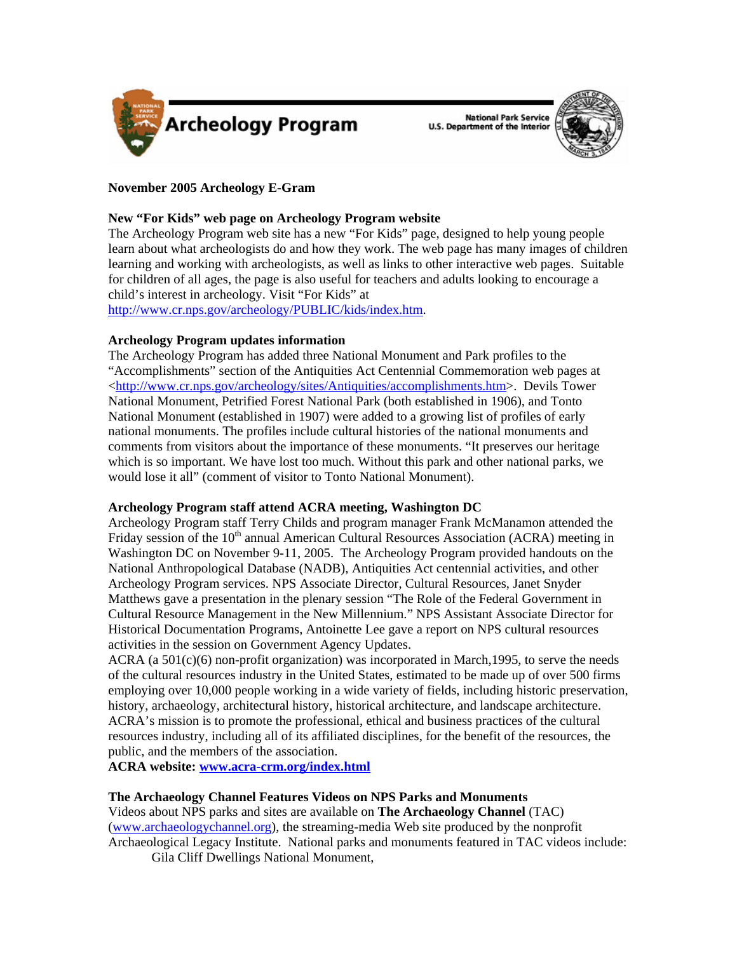



# **November 2005 Archeology E-Gram**

# **New "For Kids" web page on Archeology Program website**

The Archeology Program web site has a new "For Kids" page, designed to help young people learn about what archeologists do and how they work. The web page has many images of children learning and working with archeologists, as well as links to other interactive web pages. Suitable for children of all ages, the page is also useful for teachers and adults looking to encourage a child's interest in archeology. Visit "For Kids" at

[http://www.cr.nps.gov/archeology/PUBLIC/kids/index.htm.](http://www.cr.nps.gov/archeology/PUBLIC/kids/index.htm)

# **Archeology Program updates information**

The Archeology Program has added three National Monument and Park profiles to the "Accomplishments" section of the Antiquities Act Centennial Commemoration web pages at [<http://www.cr.nps.gov/archeology/sites/Antiquities/accomplishments.htm>](http://www.cr.nps.gov/archeology/sites/Antiquities/accomplishments.htm). Devils Tower National Monument, Petrified Forest National Park (both established in 1906), and Tonto National Monument (established in 1907) were added to a growing list of profiles of early national monuments. The profiles include cultural histories of the national monuments and comments from visitors about the importance of these monuments. "It preserves our heritage which is so important. We have lost too much. Without this park and other national parks, we would lose it all" (comment of visitor to Tonto National Monument).

# **Archeology Program staff attend ACRA meeting, Washington DC**

Archeology Program staff Terry Childs and program manager Frank McManamon attended the Friday session of the  $10<sup>th</sup>$  annual American Cultural Resources Association (ACRA) meeting in Washington DC on November 9-11, 2005. The Archeology Program provided handouts on the National Anthropological Database (NADB), Antiquities Act centennial activities, and other Archeology Program services. NPS Associate Director, Cultural Resources, Janet Snyder Matthews gave a presentation in the plenary session "The Role of the Federal Government in Cultural Resource Management in the New Millennium." NPS Assistant Associate Director for Historical Documentation Programs, Antoinette Lee gave a report on NPS cultural resources activities in the session on Government Agency Updates.

ACRA (a  $501(c)(6)$  non-profit organization) was incorporated in March, 1995, to serve the needs of the cultural resources industry in the United States, estimated to be made up of over 500 firms employing over 10,000 people working in a wide variety of fields, including historic preservation, history, archaeology, architectural history, historical architecture, and landscape architecture. ACRA's mission is to promote the professional, ethical and business practices of the cultural resources industry, including all of its affiliated disciplines, for the benefit of the resources, the public, and the members of the association.

**ACRA website: [www.acra-crm.org/index.html](http://www.acra-crm.org/index.html)**

# **The Archaeology Channel Features Videos on NPS Parks and Monuments**

Videos about NPS parks and sites are available on **The Archaeology Channel** (TAC) ([www.archaeologychannel.org\)](http://www.archaeologychannel.org), the streaming-media Web site produced by the nonprofit Archaeological Legacy Institute. National parks and monuments featured in TAC videos include: Gila Cliff Dwellings National Monument,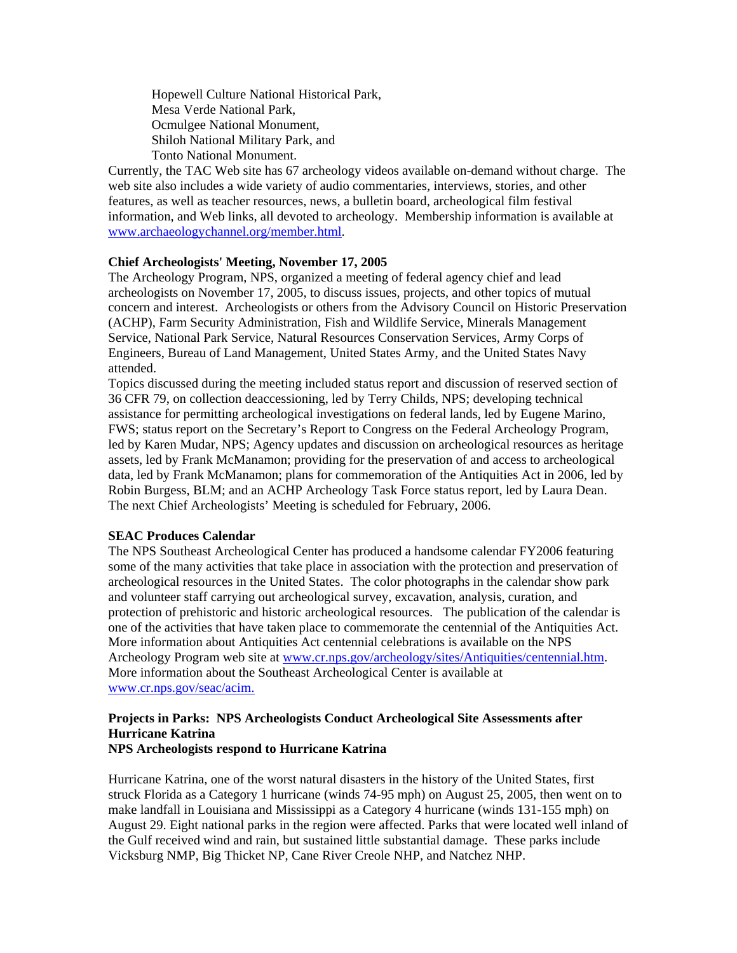Hopewell Culture National Historical Park, Mesa Verde National Park, Ocmulgee National Monument, Shiloh National Military Park, and Tonto National Monument.

Currently, the TAC Web site has 67 archeology videos available on-demand without charge. The web site also includes a wide variety of audio commentaries, interviews, stories, and other features, as well as teacher resources, news, a bulletin board, archeological film festival information, and Web links, all devoted to archeology.Membership information is available at [www.archaeologychannel.org/member.html.](http://www.archaeologychannel.org/member.html)

# **Chief Archeologists' Meeting, November 17, 2005**

The Archeology Program, NPS, organized a meeting of federal agency chief and lead archeologists on November 17, 2005, to discuss issues, projects, and other topics of mutual concern and interest. Archeologists or others from the Advisory Council on Historic Preservation (ACHP), Farm Security Administration, Fish and Wildlife Service, Minerals Management Service, National Park Service, Natural Resources Conservation Services, Army Corps of Engineers, Bureau of Land Management, United States Army, and the United States Navy attended.

Topics discussed during the meeting included status report and discussion of reserved section of 36 CFR 79, on collection deaccessioning, led by Terry Childs, NPS; developing technical assistance for permitting archeological investigations on federal lands, led by Eugene Marino, FWS; status report on the Secretary's Report to Congress on the Federal Archeology Program, led by Karen Mudar, NPS; Agency updates and discussion on archeological resources as heritage assets, led by Frank McManamon; providing for the preservation of and access to archeological data, led by Frank McManamon; plans for commemoration of the Antiquities Act in 2006, led by Robin Burgess, BLM; and an ACHP Archeology Task Force status report, led by Laura Dean. The next Chief Archeologists' Meeting is scheduled for February, 2006.

# **SEAC Produces Calendar**

The NPS Southeast Archeological Center has produced a handsome calendar FY2006 featuring some of the many activities that take place in association with the protection and preservation of archeological resources in the United States. The color photographs in the calendar show park and volunteer staff carrying out archeological survey, excavation, analysis, curation, and protection of prehistoric and historic archeological resources. The publication of the calendar is one of the activities that have taken place to commemorate the centennial of the Antiquities Act. More information about Antiquities Act centennial celebrations is available on the NPS Archeology Program web site at [www.cr.nps.gov/archeology/sites/Antiquities/centennial.htm](http://www.cr.nps.gov/archeology/sites/Antiquities/centennial.htm). More information about the Southeast Archeological Center is available at [www.cr.nps.gov/seac/acim.](www.cr.nps.gov/seac/acim/)

### **Projects in Parks: NPS Archeologists Conduct Archeological Site Assessments after Hurricane Katrina NPS Archeologists respond to Hurricane Katrina**

Hurricane Katrina, one of the worst natural disasters in the history of the United States, first struck Florida as a Category 1 hurricane (winds 74-95 mph) on August 25, 2005, then went on to make landfall in Louisiana and Mississippi as a Category 4 hurricane (winds 131-155 mph) on August 29. Eight national parks in the region were affected. Parks that were located well inland of the Gulf received wind and rain, but sustained little substantial damage. These parks include Vicksburg NMP, Big Thicket NP, Cane River Creole NHP, and Natchez NHP.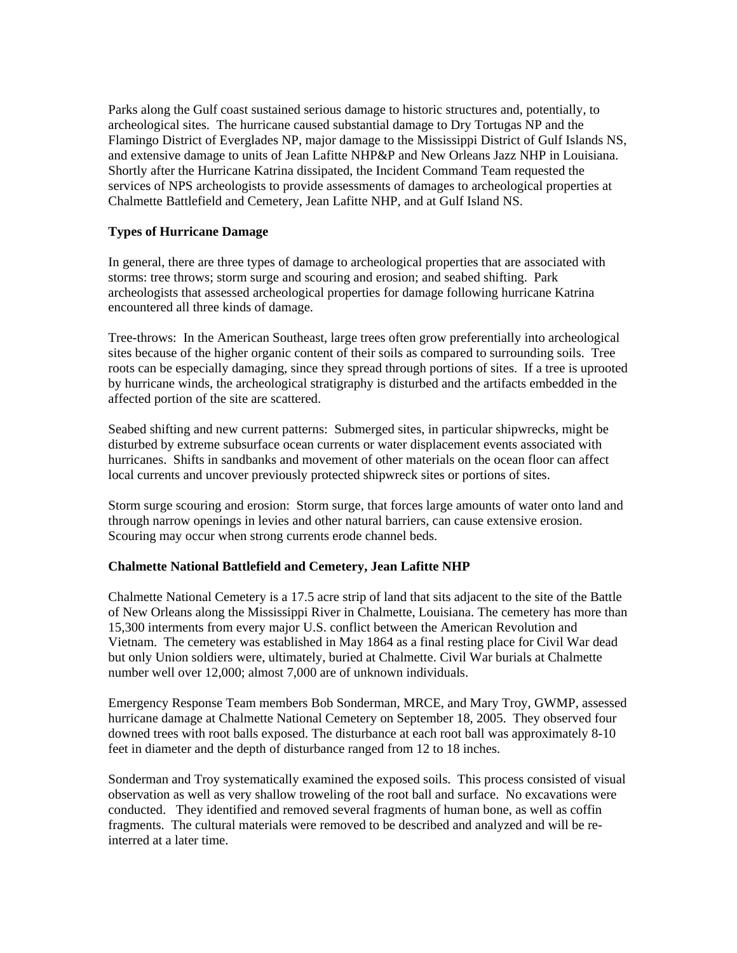Parks along the Gulf coast sustained serious damage to historic structures and, potentially, to archeological sites. The hurricane caused substantial damage to Dry Tortugas NP and the Flamingo District of Everglades NP, major damage to the Mississippi District of Gulf Islands NS, and extensive damage to units of Jean Lafitte NHP&P and New Orleans Jazz NHP in Louisiana. Shortly after the Hurricane Katrina dissipated, the Incident Command Team requested the services of NPS archeologists to provide assessments of damages to archeological properties at Chalmette Battlefield and Cemetery, Jean Lafitte NHP, and at Gulf Island NS.

# **Types of Hurricane Damage**

In general, there are three types of damage to archeological properties that are associated with storms: tree throws; storm surge and scouring and erosion; and seabed shifting. Park archeologists that assessed archeological properties for damage following hurricane Katrina encountered all three kinds of damage.

Tree-throws: In the American Southeast, large trees often grow preferentially into archeological sites because of the higher organic content of their soils as compared to surrounding soils. Tree roots can be especially damaging, since they spread through portions of sites. If a tree is uprooted by hurricane winds, the archeological stratigraphy is disturbed and the artifacts embedded in the affected portion of the site are scattered.

Seabed shifting and new current patterns: Submerged sites, in particular shipwrecks, might be disturbed by extreme subsurface ocean currents or water displacement events associated with hurricanes. Shifts in sandbanks and movement of other materials on the ocean floor can affect local currents and uncover previously protected shipwreck sites or portions of sites.

Storm surge scouring and erosion: Storm surge, that forces large amounts of water onto land and through narrow openings in levies and other natural barriers, can cause extensive erosion. Scouring may occur when strong currents erode channel beds.

# **Chalmette National Battlefield and Cemetery, Jean Lafitte NHP**

Chalmette National Cemetery is a 17.5 acre strip of land that sits adjacent to the site of the Battle of New Orleans along the Mississippi River in Chalmette, Louisiana. The cemetery has more than 15,300 interments from every major U.S. conflict between the American Revolution and Vietnam. The cemetery was established in May 1864 as a final resting place for Civil War dead but only Union soldiers were, ultimately, buried at Chalmette. Civil War burials at Chalmette number well over 12,000; almost 7,000 are of unknown individuals.

Emergency Response Team members Bob Sonderman, MRCE, and Mary Troy, GWMP, assessed hurricane damage at Chalmette National Cemetery on September 18, 2005. They observed four downed trees with root balls exposed. The disturbance at each root ball was approximately 8-10 feet in diameter and the depth of disturbance ranged from 12 to 18 inches.

Sonderman and Troy systematically examined the exposed soils. This process consisted of visual observation as well as very shallow troweling of the root ball and surface. No excavations were conducted. They identified and removed several fragments of human bone, as well as coffin fragments. The cultural materials were removed to be described and analyzed and will be reinterred at a later time.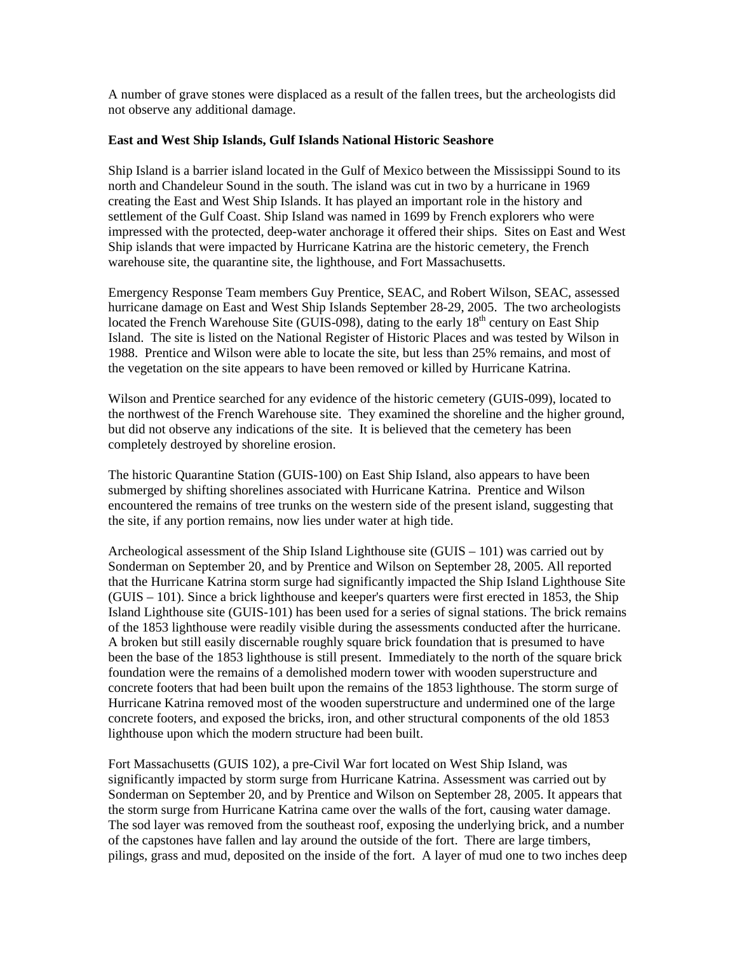A number of grave stones were displaced as a result of the fallen trees, but the archeologists did not observe any additional damage.

### **East and West Ship Islands, Gulf Islands National Historic Seashore**

Ship Island is a barrier island located in the Gulf of Mexico between the Mississippi Sound to its north and Chandeleur Sound in the south. The island was cut in two by a hurricane in 1969 creating the East and West Ship Islands. It has played an important role in the history and settlement of the Gulf Coast. Ship Island was named in 1699 by French explorers who were impressed with the protected, deep-water anchorage it offered their ships. Sites on East and West Ship islands that were impacted by Hurricane Katrina are the historic cemetery, the French warehouse site, the quarantine site, the lighthouse, and Fort Massachusetts.

Emergency Response Team members Guy Prentice, SEAC, and Robert Wilson, SEAC, assessed hurricane damage on East and West Ship Islands September 28-29, 2005.The two archeologists located the French Warehouse Site (GUIS-098), dating to the early  $18<sup>th</sup>$  century on East Ship Island. The site is listed on the National Register of Historic Places and was tested by Wilson in 1988. Prentice and Wilson were able to locate the site, but less than 25% remains, and most of the vegetation on the site appears to have been removed or killed by Hurricane Katrina.

Wilson and Prentice searched for any evidence of the historic cemetery (GUIS-099), located to the northwest of the French Warehouse site. They examined the shoreline and the higher ground, but did not observe any indications of the site. It is believed that the cemetery has been completely destroyed by shoreline erosion.

The historic Quarantine Station (GUIS-100) on East Ship Island, also appears to have been submerged by shifting shorelines associated with Hurricane Katrina. Prentice and Wilson encountered the remains of tree trunks on the western side of the present island, suggesting that the site, if any portion remains, now lies under water at high tide.

Archeological assessment of the Ship Island Lighthouse site (GUIS – 101) was carried out by Sonderman on September 20, and by Prentice and Wilson on September 28, 2005. All reported that the Hurricane Katrina storm surge had significantly impacted the Ship Island Lighthouse Site (GUIS – 101). Since a brick lighthouse and keeper's quarters were first erected in 1853, the Ship Island Lighthouse site (GUIS-101) has been used for a series of signal stations. The brick remains of the 1853 lighthouse were readily visible during the assessments conducted after the hurricane. A broken but still easily discernable roughly square brick foundation that is presumed to have been the base of the 1853 lighthouse is still present. Immediately to the north of the square brick foundation were the remains of a demolished modern tower with wooden superstructure and concrete footers that had been built upon the remains of the 1853 lighthouse. The storm surge of Hurricane Katrina removed most of the wooden superstructure and undermined one of the large concrete footers, and exposed the bricks, iron, and other structural components of the old 1853 lighthouse upon which the modern structure had been built.

Fort Massachusetts (GUIS 102), a pre-Civil War fort located on West Ship Island, was significantly impacted by storm surge from Hurricane Katrina. Assessment was carried out by Sonderman on September 20, and by Prentice and Wilson on September 28, 2005. It appears that the storm surge from Hurricane Katrina came over the walls of the fort, causing water damage. The sod layer was removed from the southeast roof, exposing the underlying brick, and a number of the capstones have fallen and lay around the outside of the fort. There are large timbers, pilings, grass and mud, deposited on the inside of the fort. A layer of mud one to two inches deep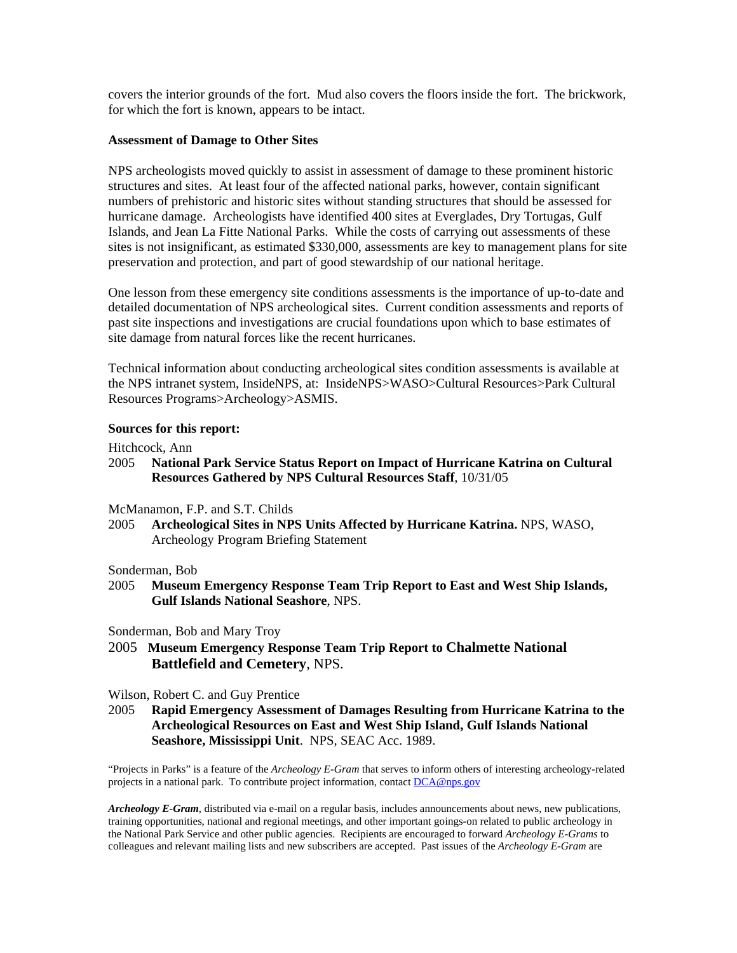covers the interior grounds of the fort. Mud also covers the floors inside the fort. The brickwork, for which the fort is known, appears to be intact.

#### **Assessment of Damage to Other Sites**

NPS archeologists moved quickly to assist in assessment of damage to these prominent historic structures and sites. At least four of the affected national parks, however, contain significant numbers of prehistoric and historic sites without standing structures that should be assessed for hurricane damage. Archeologists have identified 400 sites at Everglades, Dry Tortugas, Gulf Islands, and Jean La Fitte National Parks. While the costs of carrying out assessments of these sites is not insignificant, as estimated \$330,000, assessments are key to management plans for site preservation and protection, and part of good stewardship of our national heritage.

One lesson from these emergency site conditions assessments is the importance of up-to-date and detailed documentation of NPS archeological sites. Current condition assessments and reports of past site inspections and investigations are crucial foundations upon which to base estimates of site damage from natural forces like the recent hurricanes.

Technical information about conducting archeological sites condition assessments is available at the NPS intranet system, InsideNPS, at: InsideNPS>WASO>Cultural Resources>Park Cultural Resources Programs>Archeology>ASMIS.

#### **Sources for this report:**

Hitchcock, Ann

2005 **National Park Service Status Report on Impact of Hurricane Katrina on Cultural Resources Gathered by NPS Cultural Resources Staff**, 10/31/05

McManamon, F.P. and S.T. Childs

2005 **Archeological Sites in NPS Units Affected by Hurricane Katrina.** NPS, WASO, Archeology Program Briefing Statement

#### Sonderman, Bob

2005 **Museum Emergency Response Team Trip Report to East and West Ship Islands, Gulf Islands National Seashore**, NPS.

Sonderman, Bob and Mary Troy

2005 **Museum Emergency Response Team Trip Report to Chalmette National Battlefield and Cemetery**, NPS.

Wilson, Robert C. and Guy Prentice

2005 **Rapid Emergency Assessment of Damages Resulting from Hurricane Katrina to the Archeological Resources on East and West Ship Island, Gulf Islands National Seashore, Mississippi Unit**. NPS, SEAC Acc. 1989.

"Projects in Parks" is a feature of the *Archeology E-Gram* that serves to inform others of interesting archeology-related projects in a national park. To contribute project information, contact [DCA@nps.gov](mailto:DCA@nps.gov)

*Archeology E-Gram*, distributed via e-mail on a regular basis, includes announcements about news, new publications, training opportunities, national and regional meetings, and other important goings-on related to public archeology in the National Park Service and other public agencies. Recipients are encouraged to forward *Archeology E-Grams* to colleagues and relevant mailing lists and new subscribers are accepted. Past issues of the *Archeology E-Gram* are